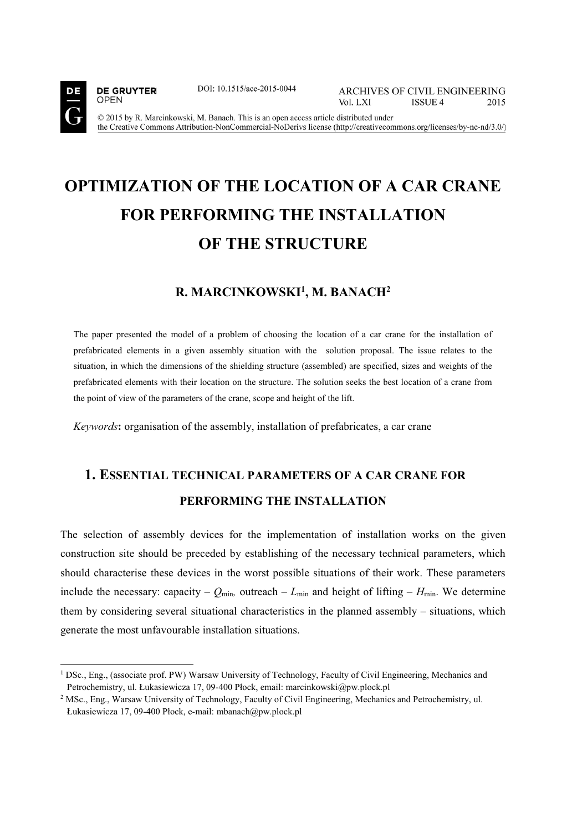

**DE GRUYTER** 

**OPEN** 

j

DOI: 10.1515/ace-2015-0044

**ARCHIVES OF CIVIL ENGINEERING** Vol. LXI ISSUE 4 2015

© 2015 by R. Marcinkowski, M. Banach. This is an open access article distributed under the Creative Commons Attribution-NonCommercial-NoDerivs license (http://creativecommons.org/licenses/by-nc-nd/3.0/)

# **OPTIMIZATION OF THE LOCATION OF A CAR CRANE FOR PERFORMING THE INSTALLATION OF THE STRUCTURE**

## **R. MARCINKOWSKI1 , M. BANACH2**

The paper presented the model of a problem of choosing the location of a car crane for the installation of prefabricated elements in a given assembly situation with the solution proposal. The issue relates to the situation, in which the dimensions of the shielding structure (assembled) are specified, sizes and weights of the prefabricated elements with their location on the structure. The solution seeks the best location of a crane from the point of view of the parameters of the crane, scope and height of the lift.

*Keywords***:** organisation of the assembly, installation of prefabricates, a car crane

## **1. ESSENTIAL TECHNICAL PARAMETERS OF A CAR CRANE FOR PERFORMING THE INSTALLATION**

The selection of assembly devices for the implementation of installation works on the given construction site should be preceded by establishing of the necessary technical parameters, which should characterise these devices in the worst possible situations of their work. These parameters include the necessary: capacity –  $Q_{\text{min}}$ , outreach –  $L_{\text{min}}$  and height of lifting –  $H_{\text{min}}$ . We determine them by considering several situational characteristics in the planned assembly – situations, which generate the most unfavourable installation situations.

<sup>&</sup>lt;sup>1</sup> DSc., Eng., (associate prof. PW) Warsaw University of Technology, Faculty of Civil Engineering, Mechanics and Petrochemistry, ul. Łukasiewicza 17, 09-400 Płock, email: marcinkowski@pw.plock.pl

<sup>&</sup>lt;sup>2</sup> MSc., Eng., Warsaw University of Technology, Faculty of Civil Engineering, Mechanics and Petrochemistry, ul. Łukasiewicza 17, 09-400 Płock, e-mail: mbanach@pw.plock.pl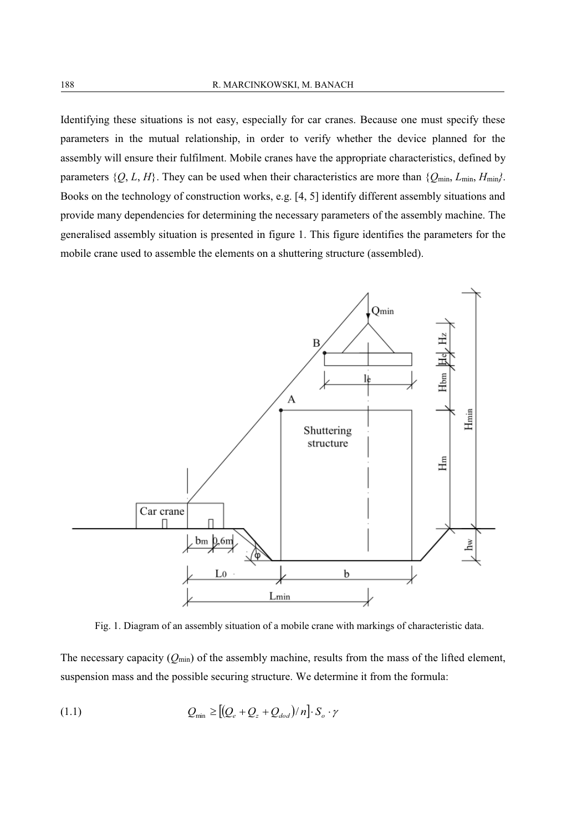Identifying these situations is not easy, especially for car cranes. Because one must specify these parameters in the mutual relationship, in order to verify whether the device planned for the assembly will ensure their fulfilment. Mobile cranes have the appropriate characteristics, defined by parameters  $\{Q, L, H\}$ . They can be used when their characteristics are more than  $\{Q_{\min}, L_{\min}, H_{\min}\}$ . Books on the technology of construction works, e.g. [4, 5] identify different assembly situations and provide many dependencies for determining the necessary parameters of the assembly machine. The generalised assembly situation is presented in figure 1. This figure identifies the parameters for the mobile crane used to assemble the elements on a shuttering structure (assembled).



Fig. 1. Diagram of an assembly situation of a mobile crane with markings of characteristic data.

The necessary capacity  $(Q_{min})$  of the assembly machine, results from the mass of the lifted element, suspension mass and the possible securing structure. We determine it from the formula:

$$
(1.1) \tQmin \geq [(Qe + Qz + Qdod)/n] \cdot So \cdot \gamma
$$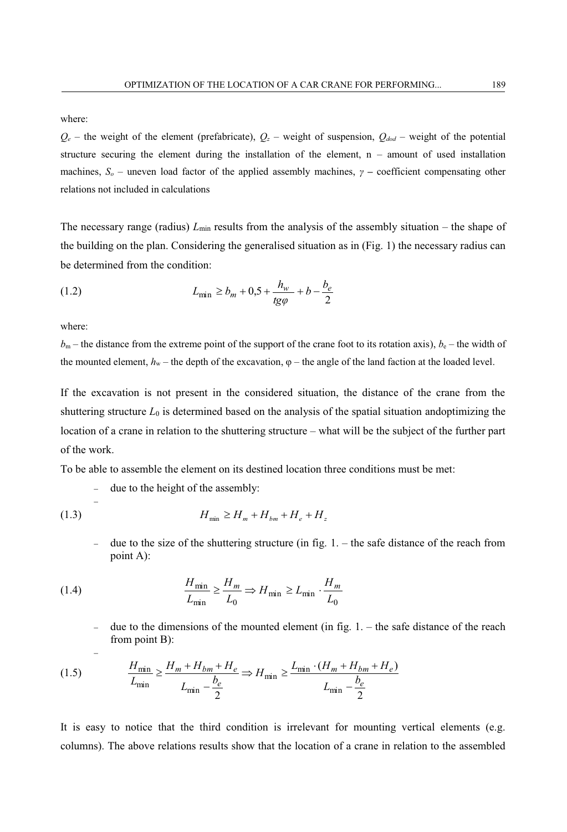where:

 $Q_e$  – the weight of the element (prefabricate),  $Q_z$  – weight of suspension,  $Q_{dod}$  – weight of the potential structure securing the element during the installation of the element,  $n -$  amount of used installation machines,  $S_0$  – uneven load factor of the applied assembly machines,  $\gamma$  – coefficient compensating other relations not included in calculations

The necessary range (radius) *L*min results from the analysis of the assembly situation – the shape of the building on the plan. Considering the generalised situation as in (Fig. 1) the necessary radius can be determined from the condition:

(1.2) 
$$
L_{\min} \ge b_m + 0.5 + \frac{h_w}{tg\varphi} + b - \frac{b_e}{2}
$$

where:

 $\overline{a}$ 

 $\overline{a}$ 

 $b_m$  – the distance from the extreme point of the support of the crane foot to its rotation axis),  $b_e$  – the width of the mounted element,  $h_w$  – the depth of the excavation,  $\varphi$  – the angle of the land faction at the loaded level.

If the excavation is not present in the considered situation, the distance of the crane from the shuttering structure *L*0 is determined based on the analysis of the spatial situation andoptimizing the location of a crane in relation to the shuttering structure – what will be the subject of the further part of the work.

To be able to assemble the element on its destined location three conditions must be met:

- due to the height of the assembly:
- (1.3)  $H_{\min} \ge H_m + H_{hm} + H_a + H_a$ 
	- due to the size of the shuttering structure (in fig. 1. the safe distance of the reach from point A):

(1.4) 
$$
\frac{H_{\min}}{L_{\min}} \ge \frac{H_m}{L_0} \Rightarrow H_{\min} \ge L_{\min} \cdot \frac{H_m}{L_0}
$$

 due to the dimensions of the mounted element (in fig. 1. – the safe distance of the reach from point B):

(1.5) 
$$
\frac{H_{\min}}{L_{\min}} \ge \frac{H_m + H_{bm} + H_e}{L_{\min} - \frac{b_e}{2}} \Rightarrow H_{\min} \ge \frac{L_{\min} \cdot (H_m + H_{bm} + H_e)}{L_{\min} - \frac{b_e}{2}}
$$

It is easy to notice that the third condition is irrelevant for mounting vertical elements (e.g. columns). The above relations results show that the location of a crane in relation to the assembled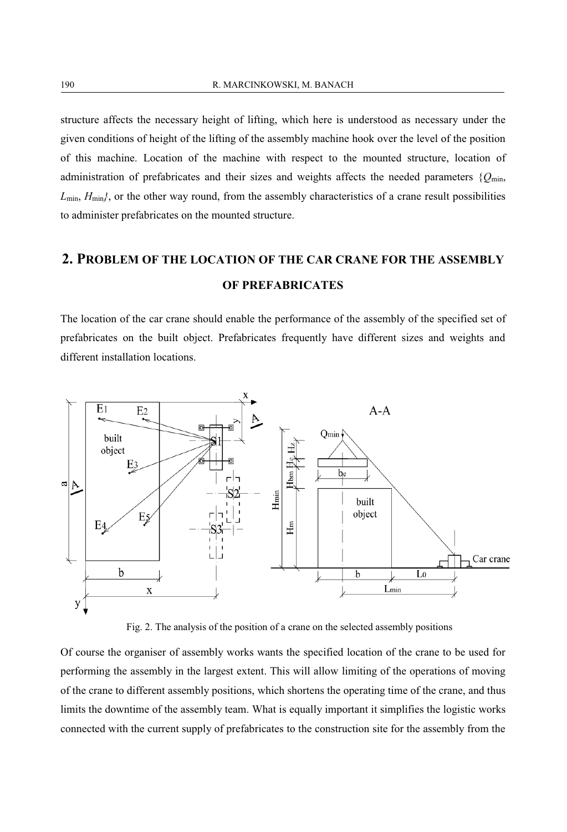structure affects the necessary height of lifting, which here is understood as necessary under the given conditions of height of the lifting of the assembly machine hook over the level of the position of this machine. Location of the machine with respect to the mounted structure, location of administration of prefabricates and their sizes and weights affects the needed parameters {*Q*min,  $L_{\text{min}}$ ,  $H_{\text{min}}$ <sup>2</sup>, or the other way round, from the assembly characteristics of a crane result possibilities to administer prefabricates on the mounted structure.

## **2. PROBLEM OF THE LOCATION OF THE CAR CRANE FOR THE ASSEMBLY OF PREFABRICATES**

The location of the car crane should enable the performance of the assembly of the specified set of prefabricates on the built object. Prefabricates frequently have different sizes and weights and different installation locations.



Fig. 2. The analysis of the position of a crane on the selected assembly positions

Of course the organiser of assembly works wants the specified location of the crane to be used for performing the assembly in the largest extent. This will allow limiting of the operations of moving of the crane to different assembly positions, which shortens the operating time of the crane, and thus limits the downtime of the assembly team. What is equally important it simplifies the logistic works connected with the current supply of prefabricates to the construction site for the assembly from the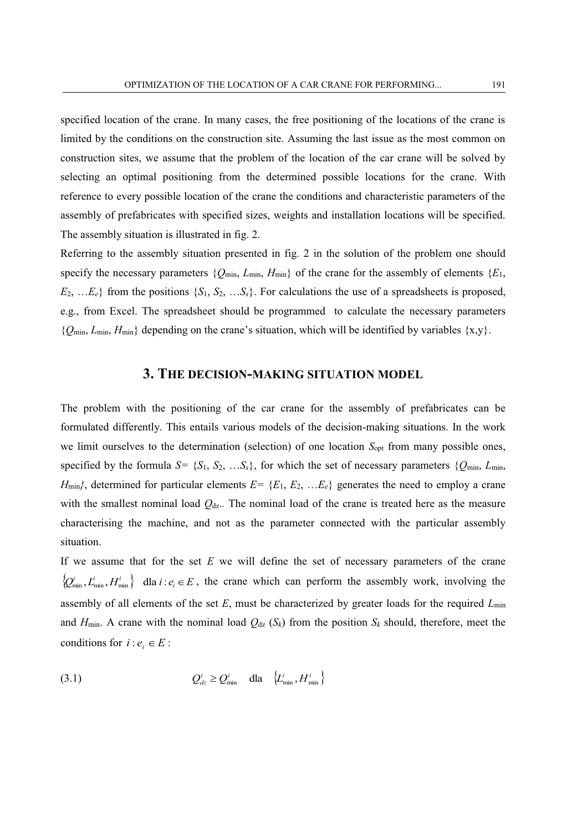specified location of the crane. In many cases, the free positioning of the locations of the crane is limited by the conditions on the construction site. Assuming the last issue as the most common on construction sites, we assume that the problem of the location of the car crane will be solved by selecting an optimal positioning from the determined possible locations for the crane. With reference to every possible location of the crane the conditions and characteristic parameters of the assembly of prefabricates with specified sizes, weights and installation locations will be specified. The assembly situation is illustrated in fig. 2.

Referring to the assembly situation presented in fig. 2 in the solution of the problem one should specify the necessary parameters  $\{Q_{\text{min}}, L_{\text{min}}, H_{\text{min}}\}$  of the crane for the assembly of elements  $\{E_1, E_2\}$  $E_2$ , … $E_e$ } from the positions {*S*<sub>1</sub>, *S*<sub>2</sub>, …*S<sub>s</sub>*}. For calculations the use of a spreadsheets is proposed, e.g., from Excel. The spreadsheet should be programmed to calculate the necessary parameters  ${Q_{\text{min}}}, L_{\text{min}}$ ,  $H_{\text{min}}$  depending on the crane's situation, which will be identified by variables  $\{x, y\}$ .

#### **3. THE DECISION-MAKING SITUATION MODEL**

The problem with the positioning of the car crane for the assembly of prefabricates can be formulated differently. This entails various models of the decision-making situations. In the work we limit ourselves to the determination (selection) of one location  $S_{opt}$  from many possible ones, specified by the formula  $S = \{S_1, S_2, \ldots S_s\}$ , for which the set of necessary parameters  $\{Q_{\text{min}}, L_{\text{min}}\}$  $H_{\text{min}}$ <sup>2</sup>, determined for particular elements  $E = \{E_1, E_2, \dots, E_e\}$  generates the need to employ a crane with the smallest nominal load  $Q_{dz}$ . The nominal load of the crane is treated here as the measure characterising the machine, and not as the parameter connected with the particular assembly situation.

If we assume that for the set *E* we will define the set of necessary parameters of the crane  $\{\mathcal{Q}_{\min}^i, L_{\min}^i, H_{\min}^i\}$  dla  $i : e_i \in E$ , the crane which can perform the assembly work, involving the assembly of all elements of the set *E*, must be characterized by greater loads for the required *L*min and  $H_{\text{min}}$ . A crane with the nominal load  $Q_{dz}$  ( $S_k$ ) from the position  $S_k$  should, therefore, meet the conditions for  $i: e_i \in E$ :

(3.1) 3 4 *ii ii dz QQ* min min *HL* min ; dla ,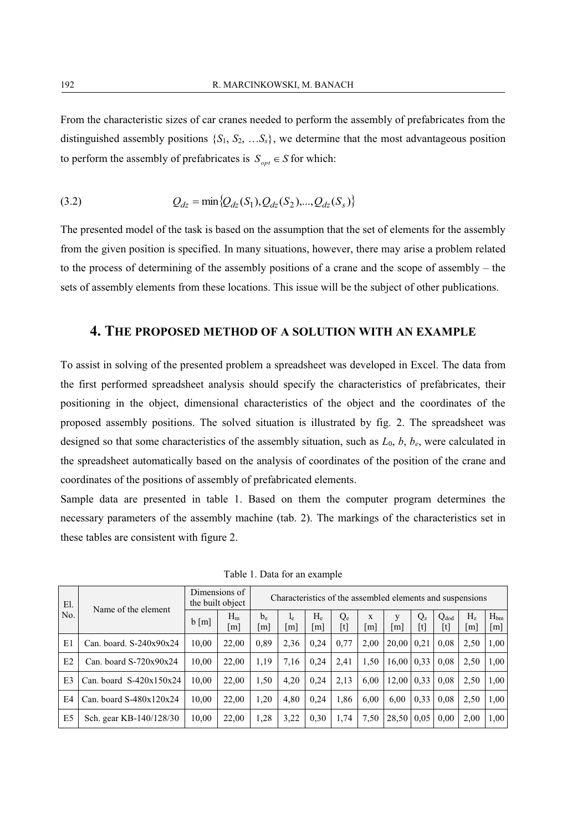From the characteristic sizes of car cranes needed to perform the assembly of prefabricates from the distinguished assembly positions  $\{S_1, S_2, \ldots S_s\}$ , we determine that the most advantageous position to perform the assembly of prefabricates is  $S_{opt} \in S$  for which:

(3.2) 
$$
Q_{dz} = \min \{ Q_{dz}(S_1), Q_{dz}(S_2), ..., Q_{dz}(S_s) \}
$$

The presented model of the task is based on the assumption that the set of elements for the assembly from the given position is specified. In many situations, however, there may arise a problem related to the process of determining of the assembly positions of a crane and the scope of assembly – the sets of assembly elements from these locations. This issue will be the subject of other publications.

#### **4. THE PROPOSED METHOD OF A SOLUTION WITH AN EXAMPLE**

To assist in solving of the presented problem a spreadsheet was developed in Excel. The data from the first performed spreadsheet analysis should specify the characteristics of prefabricates, their positioning in the object, dimensional characteristics of the object and the coordinates of the proposed assembly positions. The solved situation is illustrated by fig. 2. The spreadsheet was designed so that some characteristics of the assembly situation, such as *L*0, *b*, *be*, were calculated in the spreadsheet automatically based on the analysis of coordinates of the position of the crane and coordinates of the positions of assembly of prefabricated elements.

Sample data are presented in table 1. Based on them the computer program determines the necessary parameters of the assembly machine (tab. 2). The markings of the characteristics set in these tables are consistent with figure 2.

| El.<br>No.     | Name of the element       | Dimensions of<br>the built object |                            | Characteristics of the assembled elements and suspensions |                         |                         |                |                        |          |                |                         |              |                               |
|----------------|---------------------------|-----------------------------------|----------------------------|-----------------------------------------------------------|-------------------------|-------------------------|----------------|------------------------|----------|----------------|-------------------------|--------------|-------------------------------|
|                |                           | $b \,[m]$                         | $H_m$<br>$\lceil m \rceil$ | be<br>$\lceil m \rceil$                                   | le<br>$\lceil m \rceil$ | He<br>$\lceil m \rceil$ | $Q_{e}$<br>[t] | X<br>$\lceil m \rceil$ | y<br>[m] | $Q_{z}$<br>[t] | $Q_{\text{dod}}$<br>[t] | $H_z$<br>[m] | $H_{bm}$<br>$\lceil m \rceil$ |
| E1             | Can. board. $S-240x90x24$ | 10.00                             | 22.00                      | 0.89                                                      | 2,36                    | 0.24                    | 0.77           | 2.00                   | 20.00    | 0.21           | 0.08                    | 2.50         | 1,00                          |
| E <sub>2</sub> | Can. board $S-720x90x24$  | 10.00                             | 22.00                      | 1.19                                                      | 7.16                    | 0.24                    | 2.41           | 1.50                   | 16.00    | 0.33           | 0.08                    | 2.50         | 1,00                          |
| E <sub>3</sub> | Can. board $S-420x150x24$ | 10.00                             | 22.00                      | 1.50                                                      | 4.20                    | 0.24                    | 2.13           | 6.00                   | 12.00    | 0.33           | 0.08                    | 2.50         | 1.00                          |
| E <sub>4</sub> | Can. board $S-480x120x24$ | 10.00                             | 22.00                      | 1.20                                                      | 4.80                    | 0.24                    | 1.86           | 6.00                   | 6.00     | 0.33           | 0.08                    | 2.50         | 1,00                          |
| E <sub>5</sub> | Sch. gear KB-140/128/30   | 10,00                             | 22,00                      | 1.28                                                      | 3,22                    | 0.30                    | 1,74           | 7,50                   | 28,50    | 0.05           | 0.00                    | 2.00         | 1,00                          |

Table 1. Data for an example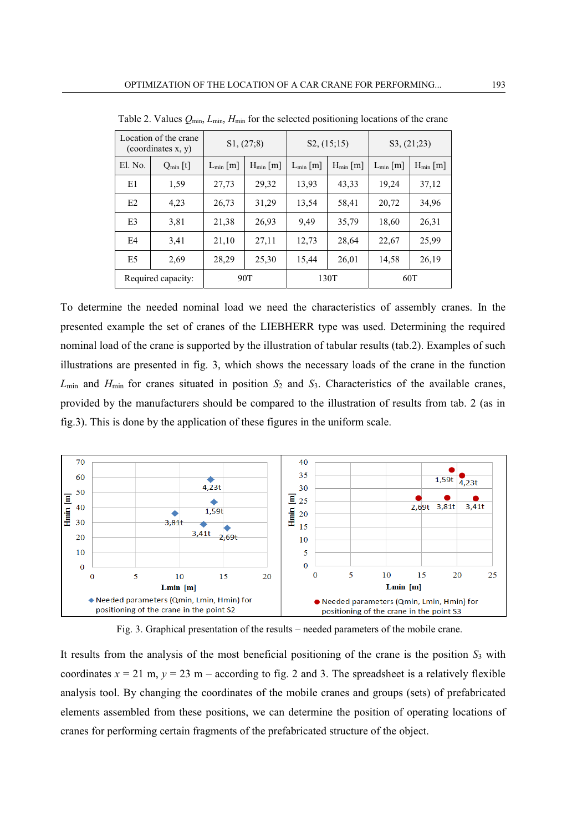|                | Location of the crane<br>$(c$ oordinates x, y) |                | S1, (27;8)    |                | S2, (15,15)   | S3, (21;23)    |              |  |
|----------------|------------------------------------------------|----------------|---------------|----------------|---------------|----------------|--------------|--|
| El. No.        | $Q_{\min}$ [t]                                 | $L_{\min}$ [m] | $H_{min}$ [m] | $L_{\min}$ [m] | $H_{min}$ [m] | $L_{\min}$ [m] | $H_{min}[m]$ |  |
| E1             | 1,59                                           | 27,73          | 29,32         | 13.93          | 43,33         | 19.24          | 37,12        |  |
| E2             | 4,23                                           | 26,73          | 31,29         | 13,54          | 58,41         | 20.72          | 34.96        |  |
| E <sub>3</sub> | 3,81                                           | 21,38          | 26,93         | 9.49           | 35.79         | 18,60          | 26,31        |  |
| E <sub>4</sub> | 3,41                                           | 21,10          | 27,11         | 12,73          | 28.64         | 22,67          | 25,99        |  |
| E5             | 2.69                                           | 28,29          | 25,30         | 15,44          | 26,01         | 14,58          | 26,19        |  |
|                | Required capacity:                             |                | 90T           |                | 130T          | 60T            |              |  |

Table 2. Values  $Q_{\text{min}}$ ,  $L_{\text{min}}$ ,  $H_{\text{min}}$  for the selected positioning locations of the crane

To determine the needed nominal load we need the characteristics of assembly cranes. In the presented example the set of cranes of the LIEBHERR type was used. Determining the required nominal load of the crane is supported by the illustration of tabular results (tab.2). Examples of such illustrations are presented in fig. 3, which shows the necessary loads of the crane in the function  $L_{\text{min}}$  and  $H_{\text{min}}$  for cranes situated in position  $S_2$  and  $S_3$ . Characteristics of the available cranes, provided by the manufacturers should be compared to the illustration of results from tab. 2 (as in fig.3). This is done by the application of these figures in the uniform scale.



Fig. 3. Graphical presentation of the results – needed parameters of the mobile crane.

It results from the analysis of the most beneficial positioning of the crane is the position *S*3 with coordinates  $x = 21$  m,  $y = 23$  m – according to fig. 2 and 3. The spreadsheet is a relatively flexible analysis tool. By changing the coordinates of the mobile cranes and groups (sets) of prefabricated elements assembled from these positions, we can determine the position of operating locations of cranes for performing certain fragments of the prefabricated structure of the object.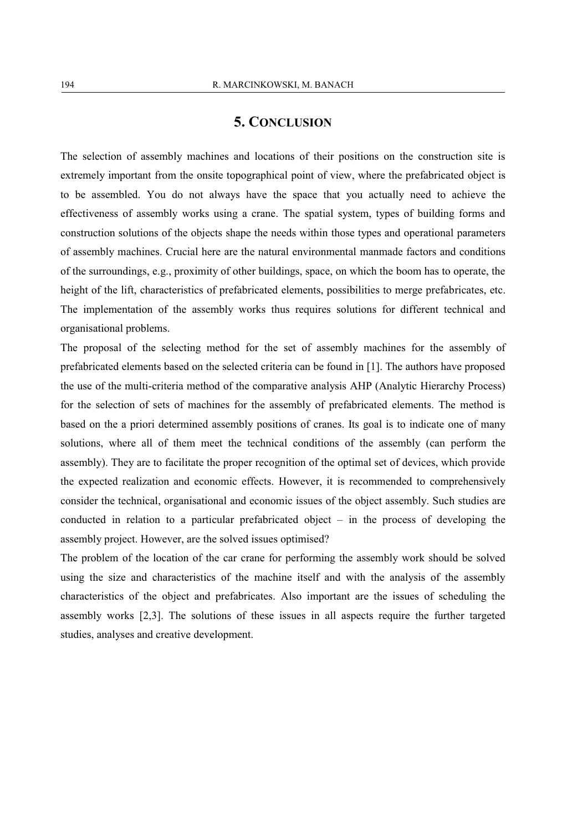## **5. CONCLUSION**

The selection of assembly machines and locations of their positions on the construction site is extremely important from the onsite topographical point of view, where the prefabricated object is to be assembled. You do not always have the space that you actually need to achieve the effectiveness of assembly works using a crane. The spatial system, types of building forms and construction solutions of the objects shape the needs within those types and operational parameters of assembly machines. Crucial here are the natural environmental manmade factors and conditions of the surroundings, e.g., proximity of other buildings, space, on which the boom has to operate, the height of the lift, characteristics of prefabricated elements, possibilities to merge prefabricates, etc. The implementation of the assembly works thus requires solutions for different technical and organisational problems.

The proposal of the selecting method for the set of assembly machines for the assembly of prefabricated elements based on the selected criteria can be found in [1]. The authors have proposed the use of the multi-criteria method of the comparative analysis AHP (Analytic Hierarchy Process) for the selection of sets of machines for the assembly of prefabricated elements. The method is based on the a priori determined assembly positions of cranes. Its goal is to indicate one of many solutions, where all of them meet the technical conditions of the assembly (can perform the assembly). They are to facilitate the proper recognition of the optimal set of devices, which provide the expected realization and economic effects. However, it is recommended to comprehensively consider the technical, organisational and economic issues of the object assembly. Such studies are conducted in relation to a particular prefabricated object – in the process of developing the assembly project. However, are the solved issues optimised?

The problem of the location of the car crane for performing the assembly work should be solved using the size and characteristics of the machine itself and with the analysis of the assembly characteristics of the object and prefabricates. Also important are the issues of scheduling the assembly works [2,3]. The solutions of these issues in all aspects require the further targeted studies, analyses and creative development.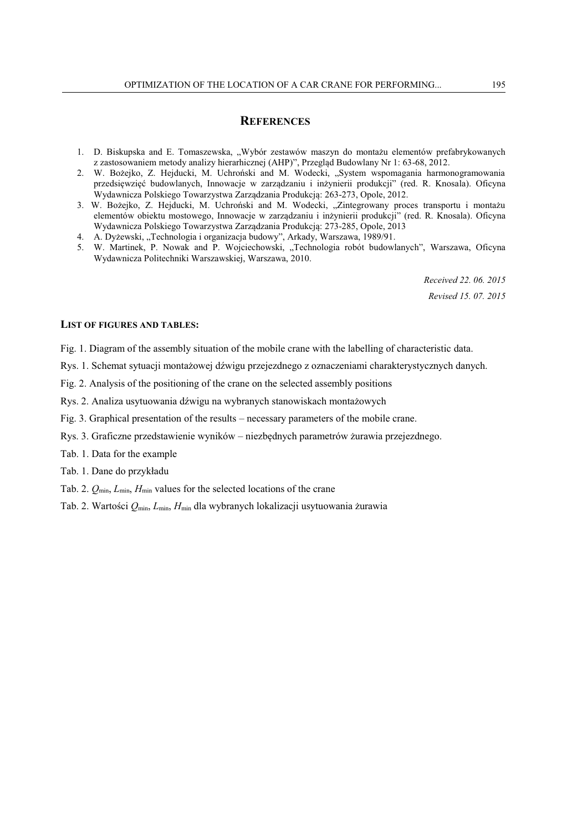#### **REFERENCES**

- 1. D. Biskupska and E. Tomaszewska, "Wybór zestawów maszyn do montażu elementów prefabrykowanych z zastosowaniem metody analizy hierarhicznej (AHP)", Przegląd Budowlany Nr 1: 63-68, 2012.
- 2. W. Bożejko, Z. Hejducki, M. Uchroński and M. Wodecki, "System wspomagania harmonogramowania przedsięwzięć budowlanych, Innowacje w zarządzaniu i inżynierii produkcji" (red. R. Knosala). Oficyna Wydawnicza Polskiego Towarzystwa Zarządzania Produkcją: 263-273, Opole, 2012.
- 3. W. Bożejko, Z. Hejducki, M. Uchroński and M. Wodecki, "Zintegrowany proces transportu i montażu elementów obiektu mostowego, Innowacje w zarządzaniu i inżynierii produkcji" (red. R. Knosala). Oficyna Wydawnicza Polskiego Towarzystwa Zarządzania Produkcją: 273-285, Opole, 2013
- 4. A. Dyżewski, "Technologia i organizacja budowy", Arkady, Warszawa, 1989/91.
- 5. W. Martinek, P. Nowak and P. Wojciechowski, "Technologia robót budowlanych", Warszawa, Oficyna Wydawnicza Politechniki Warszawskiej, Warszawa, 2010.

*Received 22. 06. 2015 Revised 15. 07. 2015*

#### **LIST OF FIGURES AND TABLES:**

Fig. 1. Diagram of the assembly situation of the mobile crane with the labelling of characteristic data.

Rys. 1. Schemat sytuacji montażowej dźwigu przejezdnego z oznaczeniami charakterystycznych danych.

Fig. 2. Analysis of the positioning of the crane on the selected assembly positions

Rys. 2. Analiza usytuowania dźwigu na wybranych stanowiskach montażowych

Fig. 3. Graphical presentation of the results – necessary parameters of the mobile crane.

Rys. 3. Graficzne przedstawienie wyników – niezbędnych parametrów żurawia przejezdnego.

Tab. 1. Data for the example

Tab. 1. Dane do przykładu

Tab. 2. *Q*min, *L*min, *H*min values for the selected locations of the crane

Tab. 2. Wartości *Q*min, *L*min, *H*min dla wybranych lokalizacji usytuowania żurawia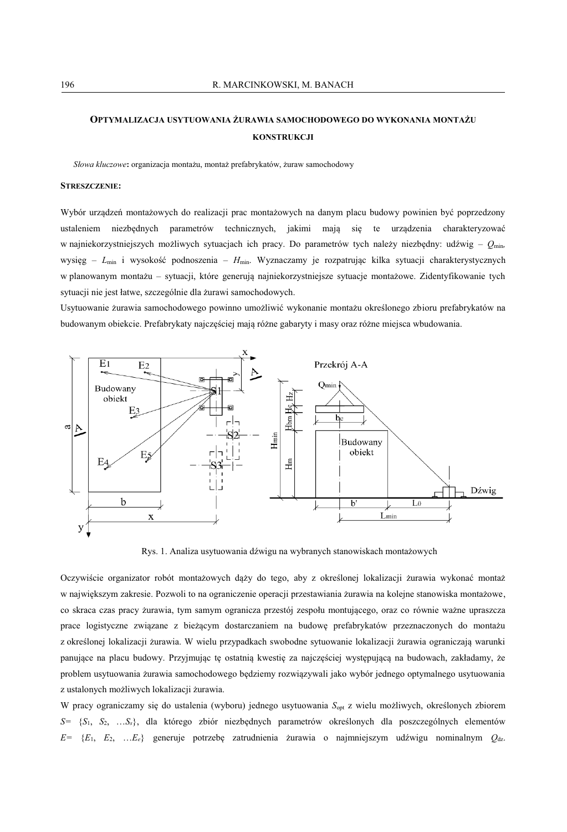## **OPTYMALIZACJA USYTUOWANIA ŻURAWIA SAMOCHODOWEGO DO WYKONANIA MONTAŻU KONSTRUKCJI**

*Słowa kluczowe***:** organizacja montażu, montaż prefabrykatów, żuraw samochodowy

#### **STRESZCZENIE:**

Wybór urządzeń montażowych do realizacji prac montażowych na danym placu budowy powinien być poprzedzony ustaleniem niezbędnych parametrów technicznych, jakimi mają się te urządzenia charakteryzować w najniekorzystniejszych możliwych sytuacjach ich pracy. Do parametrów tych należy niezbędny: udźwig – *Q*min*,* wysięg – *L*min i wysokość podnoszenia – *H*min. Wyznaczamy je rozpatrując kilka sytuacji charakterystycznych w planowanym montażu – sytuacji, które generują najniekorzystniejsze sytuacje montażowe. Zidentyfikowanie tych sytuacji nie jest łatwe, szczególnie dla żurawi samochodowych.

Usytuowanie żurawia samochodowego powinno umożliwić wykonanie montażu określonego zbioru prefabrykatów na budowanym obiekcie. Prefabrykaty najczęściej mają różne gabaryty i masy oraz różne miejsca wbudowania.



Rys. 1. Analiza usytuowania dźwigu na wybranych stanowiskach montażowych

Oczywiście organizator robót montażowych dąży do tego, aby z określonej lokalizacji żurawia wykonać montaż w największym zakresie. Pozwoli to na ograniczenie operacji przestawiania żurawia na kolejne stanowiska montażowe, co skraca czas pracy żurawia, tym samym ogranicza przestój zespołu montującego, oraz co równie ważne upraszcza prace logistyczne związane z bieżącym dostarczaniem na budowę prefabrykatów przeznaczonych do montażu z określonej lokalizacji żurawia. W wielu przypadkach swobodne sytuowanie lokalizacji żurawia ograniczają warunki panujące na placu budowy. Przyjmując tę ostatnią kwestię za najczęściej występującą na budowach, zakładamy, że problem usytuowania żurawia samochodowego będziemy rozwiązywali jako wybór jednego optymalnego usytuowania z ustalonych możliwych lokalizacji żurawia.

W pracy ograniczamy się do ustalenia (wyboru) jednego usytuowania S<sub>opt</sub> z wielu możliwych, określonych zbiorem *S=* {*S*1, *S*2, …*Ss*}, dla którego zbiór niezbędnych parametrów określonych dla poszczególnych elementów *E=* {*E*1, *E*2, …*Ee*} generuje potrzebę zatrudnienia żurawia o najmniejszym udźwigu nominalnym *Q*dz.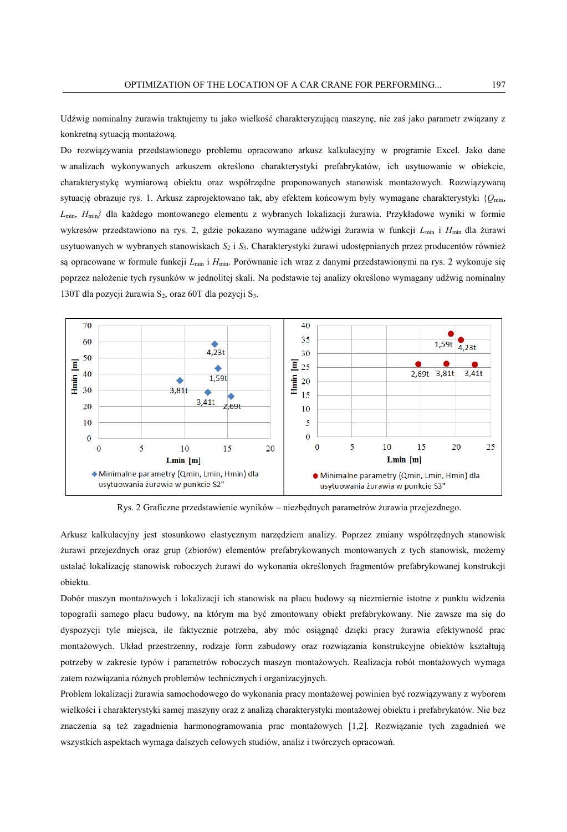Udźwig nominalny żurawia traktujemy tu jako wielkość charakteryzującą maszynę, nie zaś jako parametr związany z konkretną sytuacją montażową.

Do rozwiązywania przedstawionego problemu opracowano arkusz kalkulacyjny w programie Excel. Jako dane w analizach wykonywanych arkuszem określono charakterystyki prefabrykatów, ich usytuowanie w obiekcie, charakterystykę wymiarową obiektu oraz współrzędne proponowanych stanowisk montażowych. Rozwiązywaną sytuację obrazuje rys. 1. Arkusz zaprojektowano tak, aby efektem końcowym były wymagane charakterystyki {*Q*min, *L*min, *H*min*}* dla każdego montowanego elementu z wybranych lokalizacji żurawia. Przykładowe wyniki w formie wykresów przedstawiono na rys. 2, gdzie pokazano wymagane udźwigi żurawia w funkcji *L*min i *H*min dla żurawi usytuowanych w wybranych stanowiskach *S*<sup>2</sup> i *S*3. Charakterystyki żurawi udostępnianych przez producentów również są opracowane w formule funkcji *L*min i *H*min. Porównanie ich wraz z danymi przedstawionymi na rys. 2 wykonuje się poprzez nałożenie tych rysunków w jednolitej skali. Na podstawie tej analizy określono wymagany udźwig nominalny 130T dla pozycji żurawia  $S_2$ , oraz 60T dla pozycji  $S_3$ .



Rys. 2 Graficzne przedstawienie wyników – niezbędnych parametrów żurawia przejezdnego.

Arkusz kalkulacyjny jest stosunkowo elastycznym narzędziem analizy. Poprzez zmiany współrzędnych stanowisk żurawi przejezdnych oraz grup (zbiorów) elementów prefabrykowanych montowanych z tych stanowisk, możemy ustalać lokalizację stanowisk roboczych żurawi do wykonania określonych fragmentów prefabrykowanej konstrukcji obiektu.

Dobór maszyn montażowych i lokalizacji ich stanowisk na placu budowy są niezmiernie istotne z punktu widzenia topografii samego placu budowy, na którym ma być zmontowany obiekt prefabrykowany. Nie zawsze ma się do dyspozycji tyle miejsca, ile faktycznie potrzeba, aby móc osiągnąć dzięki pracy żurawia efektywność prac montażowych. Układ przestrzenny, rodzaje form zabudowy oraz rozwiązania konstrukcyjne obiektów kształtują potrzeby w zakresie typów i parametrów roboczych maszyn montażowych. Realizacja robót montażowych wymaga zatem rozwiązania różnych problemów technicznych i organizacyjnych.

Problem lokalizacji żurawia samochodowego do wykonania pracy montażowej powinien być rozwiązywany z wyborem wielkości i charakterystyki samej maszyny oraz z analizą charakterystyki montażowej obiektu i prefabrykatów. Nie bez znaczenia są też zagadnienia harmonogramowania prac montażowych [1,2]. Rozwiązanie tych zagadnień we wszystkich aspektach wymaga dalszych celowych studiów, analiz i twórczych opracowań.